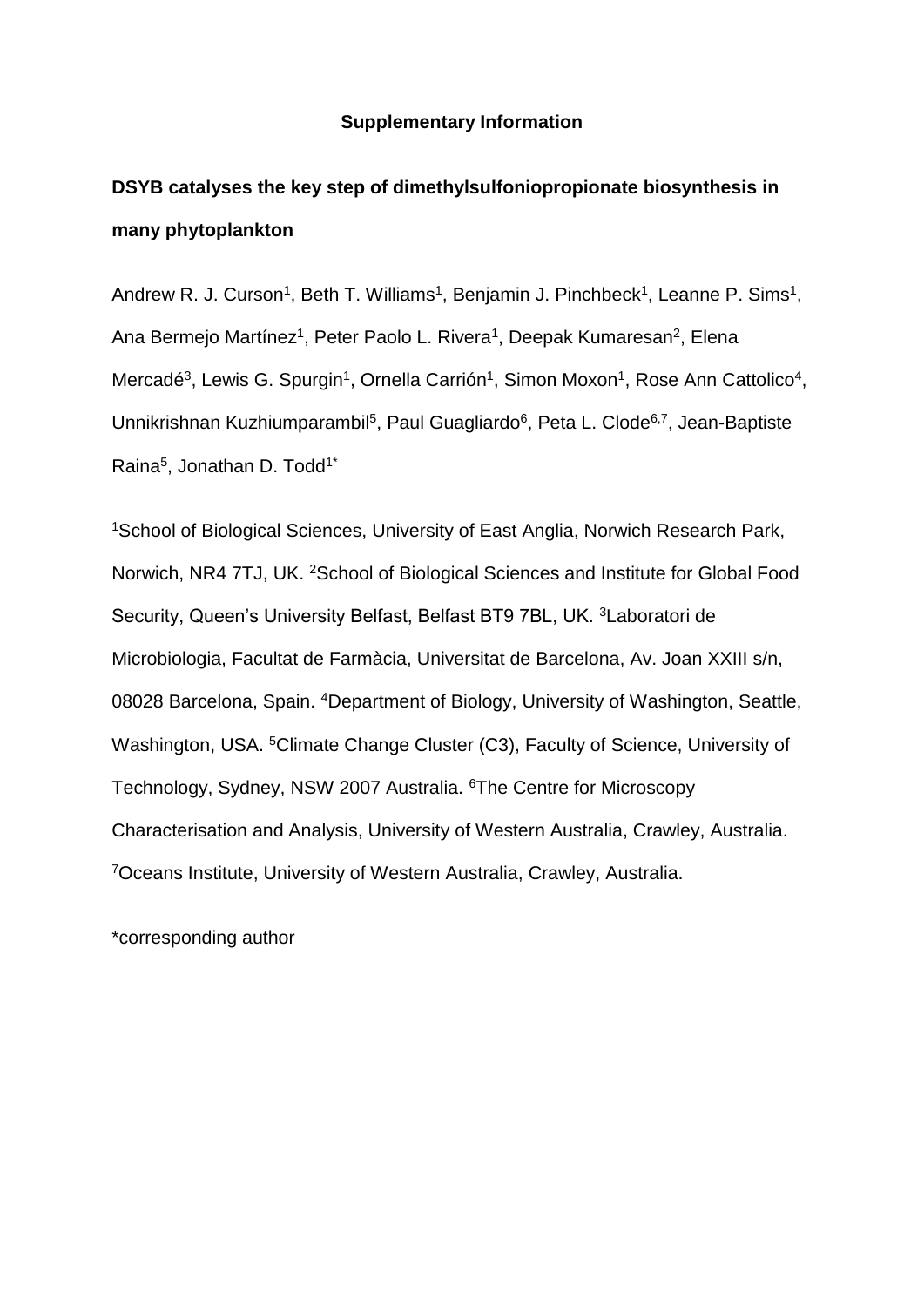### **Supplementary Information**

# **DSYB catalyses the key step of dimethylsulfoniopropionate biosynthesis in many phytoplankton**

Andrew R. J. Curson<sup>1</sup>, Beth T. Williams<sup>1</sup>, Benjamin J. Pinchbeck<sup>1</sup>, Leanne P. Sims<sup>1</sup>, Ana Bermejo Martínez<sup>1</sup>, Peter Paolo L. Rivera<sup>1</sup>, Deepak Kumaresan<sup>2</sup>, Elena Mercadé<sup>3</sup>, Lewis G. Spurgin<sup>1</sup>, Ornella Carrión<sup>1</sup>, Simon Moxon<sup>1</sup>, Rose Ann Cattolico<sup>4</sup>, Unnikrishnan Kuzhiumparambil<sup>5</sup>, Paul Guagliardo<sup>6</sup>, Peta L. Clode<sup>6,7</sup>, Jean-Baptiste Raina<sup>5</sup>, Jonathan D. Todd<sup>1\*</sup>

<sup>1</sup>School of Biological Sciences, University of East Anglia, Norwich Research Park, Norwich, NR4 7TJ, UK. <sup>2</sup>School of Biological Sciences and Institute for Global Food Security, Queen's University Belfast, Belfast BT9 7BL, UK. <sup>3</sup>Laboratori de Microbiologia, Facultat de Farmàcia, Universitat de Barcelona, Av. Joan XXIII s/n, 08028 Barcelona, Spain. <sup>4</sup>Department of Biology, University of Washington, Seattle, Washington, USA. <sup>5</sup>Climate Change Cluster (C3), Faculty of Science, University of Technology, Sydney, NSW 2007 Australia. <sup>6</sup>The Centre for Microscopy Characterisation and Analysis, University of Western Australia, Crawley, Australia. <sup>7</sup>Oceans Institute, University of Western Australia, Crawley, Australia.

\*corresponding author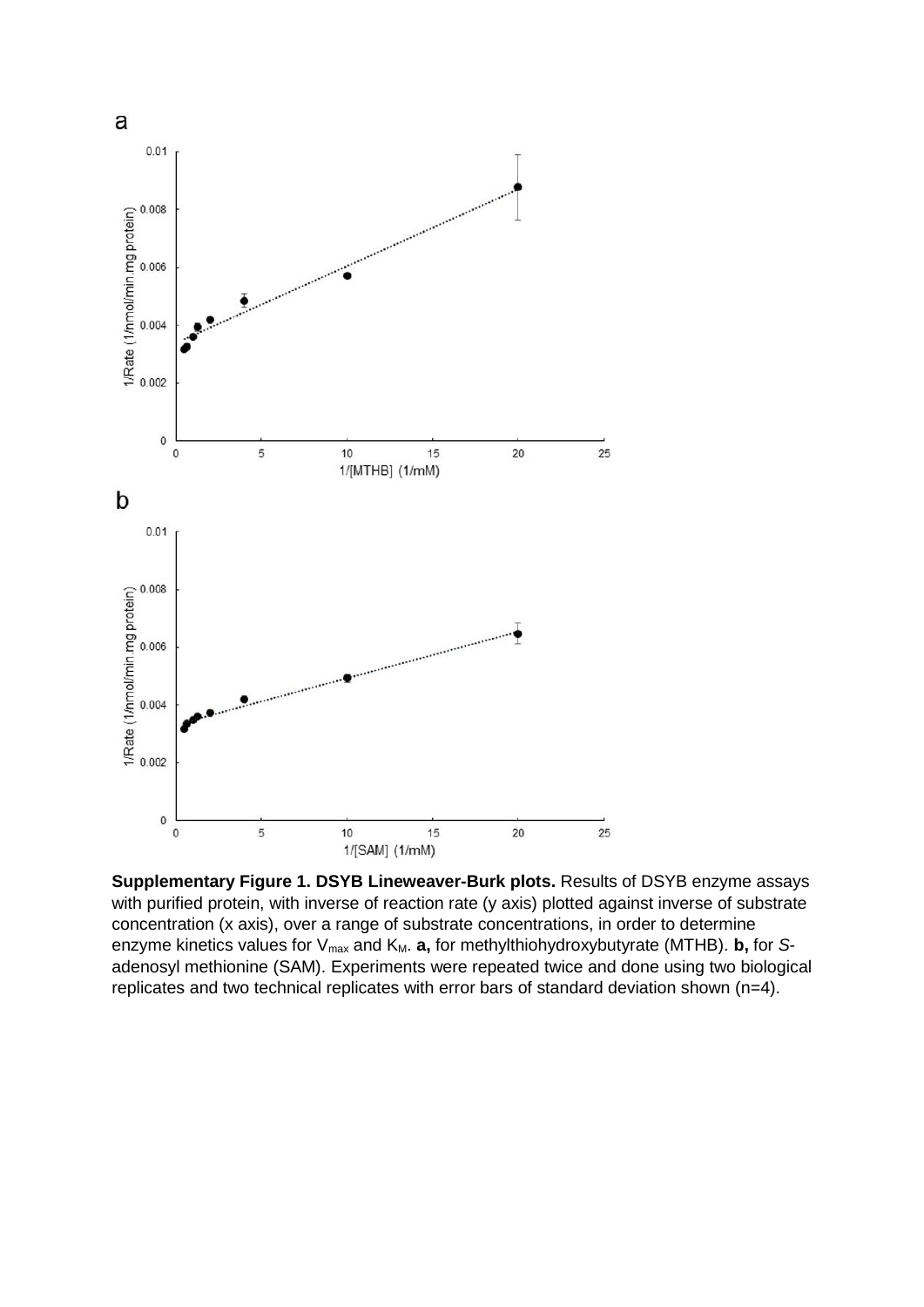

**Supplementary Figure 1. DSYB Lineweaver-Burk plots.** Results of DSYB enzyme assays with purified protein, with inverse of reaction rate (y axis) plotted against inverse of substrate concentration (x axis), over a range of substrate concentrations, in order to determine enzyme kinetics values for V<sub>max</sub> and K<sub>M</sub>. **a**, for methylthiohydroxybutyrate (MTHB). **b**, for *S*adenosyl methionine (SAM). Experiments were repeated twice and done using two biological replicates and two technical replicates with error bars of standard deviation shown (n=4).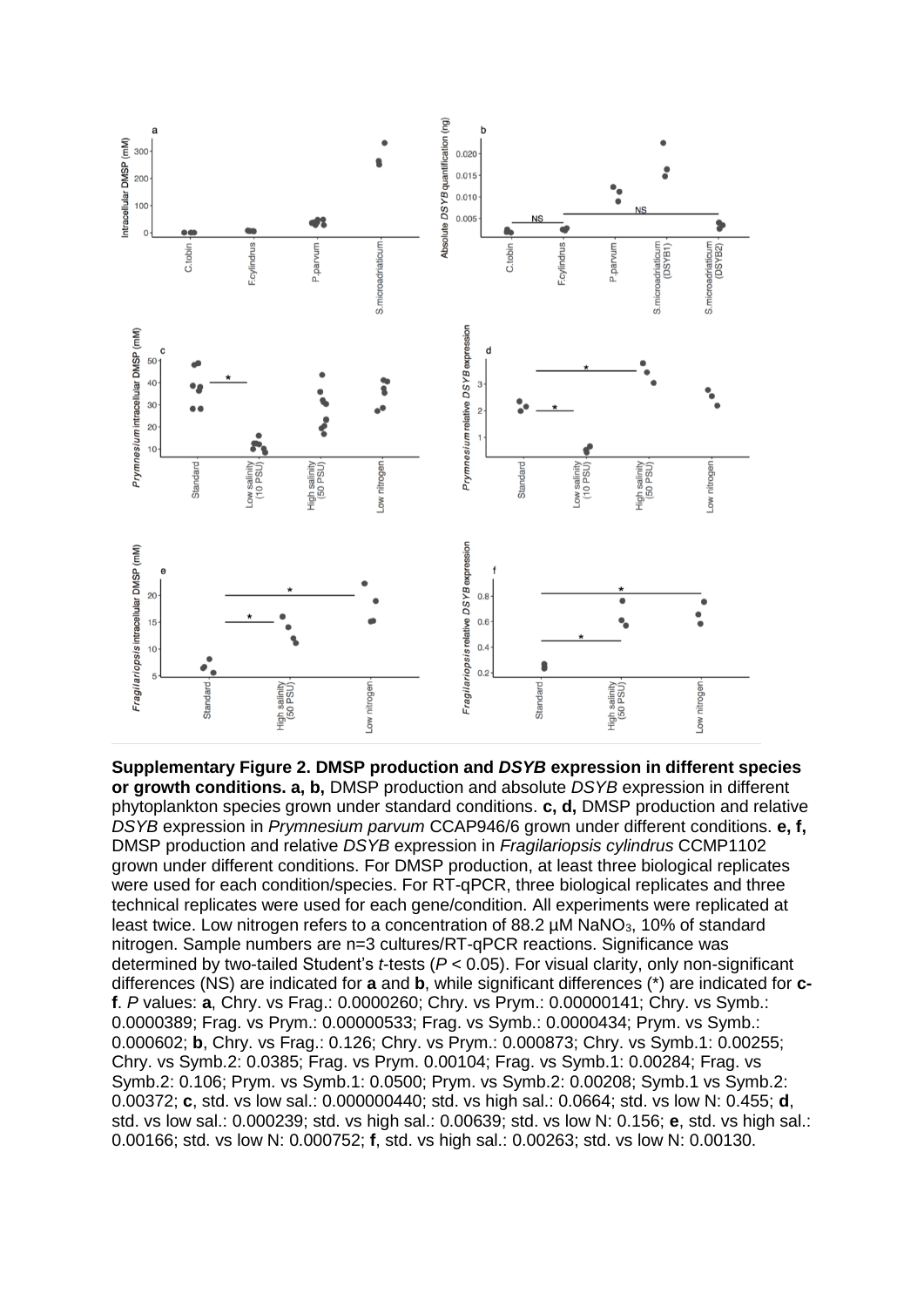

**Supplementary Figure 2. DMSP production and** *DSYB* **expression in different species or growth conditions. a, b,** DMSP production and absolute *DSYB* expression in different phytoplankton species grown under standard conditions. **c, d,** DMSP production and relative *DSYB* expression in *Prymnesium parvum* CCAP946/6 grown under different conditions. **e, f,** DMSP production and relative *DSYB* expression in *Fragilariopsis cylindrus* CCMP1102 grown under different conditions. For DMSP production, at least three biological replicates were used for each condition/species. For RT-qPCR, three biological replicates and three technical replicates were used for each gene/condition. All experiments were replicated at least twice. Low nitrogen refers to a concentration of 88.2  $\mu$ M NaNO<sub>3</sub>, 10% of standard nitrogen. Sample numbers are n=3 cultures/RT-qPCR reactions. Significance was determined by two-tailed Student's *t*-tests (*P* < 0.05). For visual clarity, only non-significant differences (NS) are indicated for **a** and **b**, while significant differences (\*) are indicated for **cf**. *P* values: **a**, Chry. vs Frag.: 0.0000260; Chry. vs Prym.: 0.00000141; Chry. vs Symb.: 0.0000389; Frag. vs Prym.: 0.00000533; Frag. vs Symb.: 0.0000434; Prym. vs Symb.: 0.000602; **b**, Chry. vs Frag.: 0.126; Chry. vs Prym.: 0.000873; Chry. vs Symb.1: 0.00255; Chry. vs Symb.2: 0.0385; Frag. vs Prym. 0.00104; Frag. vs Symb.1: 0.00284; Frag. vs Symb.2: 0.106; Prym. vs Symb.1: 0.0500; Prym. vs Symb.2: 0.00208; Symb.1 vs Symb.2: 0.00372; **c**, std. vs low sal.: 0.000000440; std. vs high sal.: 0.0664; std. vs low N: 0.455; **d**, std. vs low sal.: 0.000239; std. vs high sal.: 0.00639; std. vs low N: 0.156; **e**, std. vs high sal.: 0.00166; std. vs low N: 0.000752; **f**, std. vs high sal.: 0.00263; std. vs low N: 0.00130.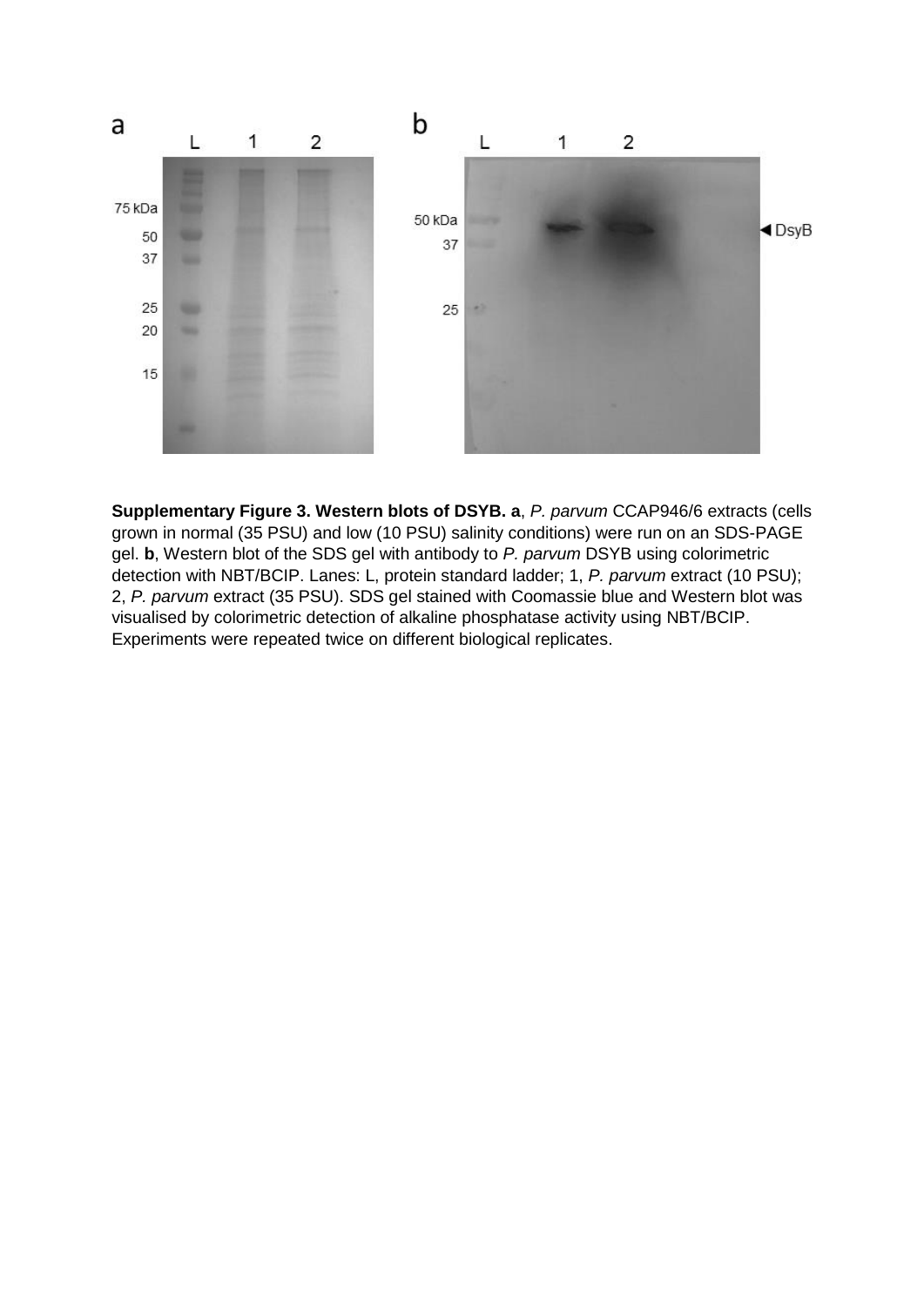

**Supplementary Figure 3. Western blots of DSYB. a**, *P. parvum* CCAP946/6 extracts (cells grown in normal (35 PSU) and low (10 PSU) salinity conditions) were run on an SDS-PAGE gel. **b**, Western blot of the SDS gel with antibody to *P. parvum* DSYB using colorimetric detection with NBT/BCIP. Lanes: L, protein standard ladder; 1, *P. parvum* extract (10 PSU); 2, *P. parvum* extract (35 PSU). SDS gel stained with Coomassie blue and Western blot was visualised by colorimetric detection of alkaline phosphatase activity using NBT/BCIP. Experiments were repeated twice on different biological replicates.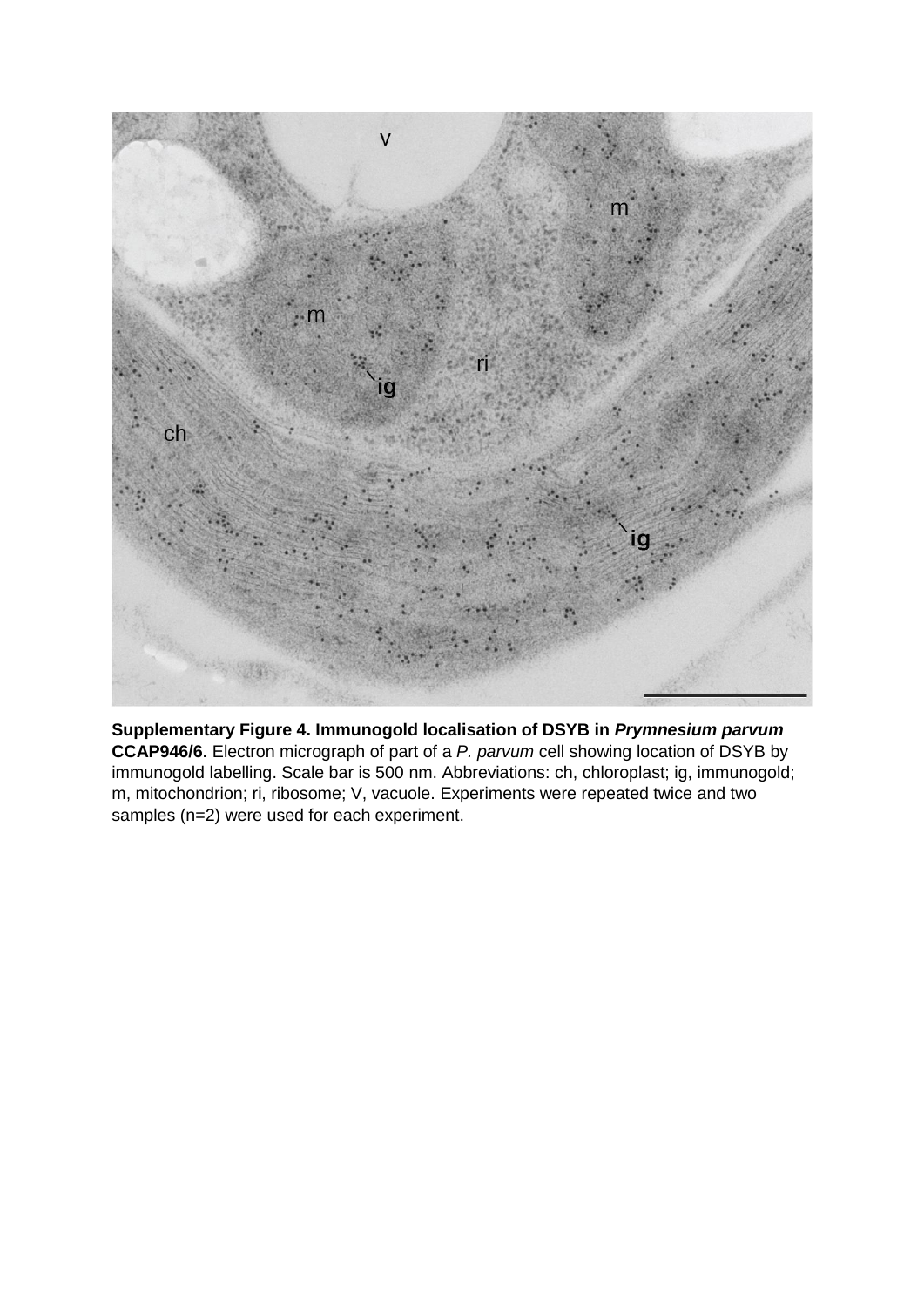

**Supplementary Figure 4. Immunogold localisation of DSYB in** *Prymnesium parvum* **CCAP946/6.** Electron micrograph of part of a *P. parvum* cell showing location of DSYB by immunogold labelling. Scale bar is 500 nm. Abbreviations: ch, chloroplast; ig, immunogold; m, mitochondrion; ri, ribosome; V, vacuole. Experiments were repeated twice and two samples (n=2) were used for each experiment.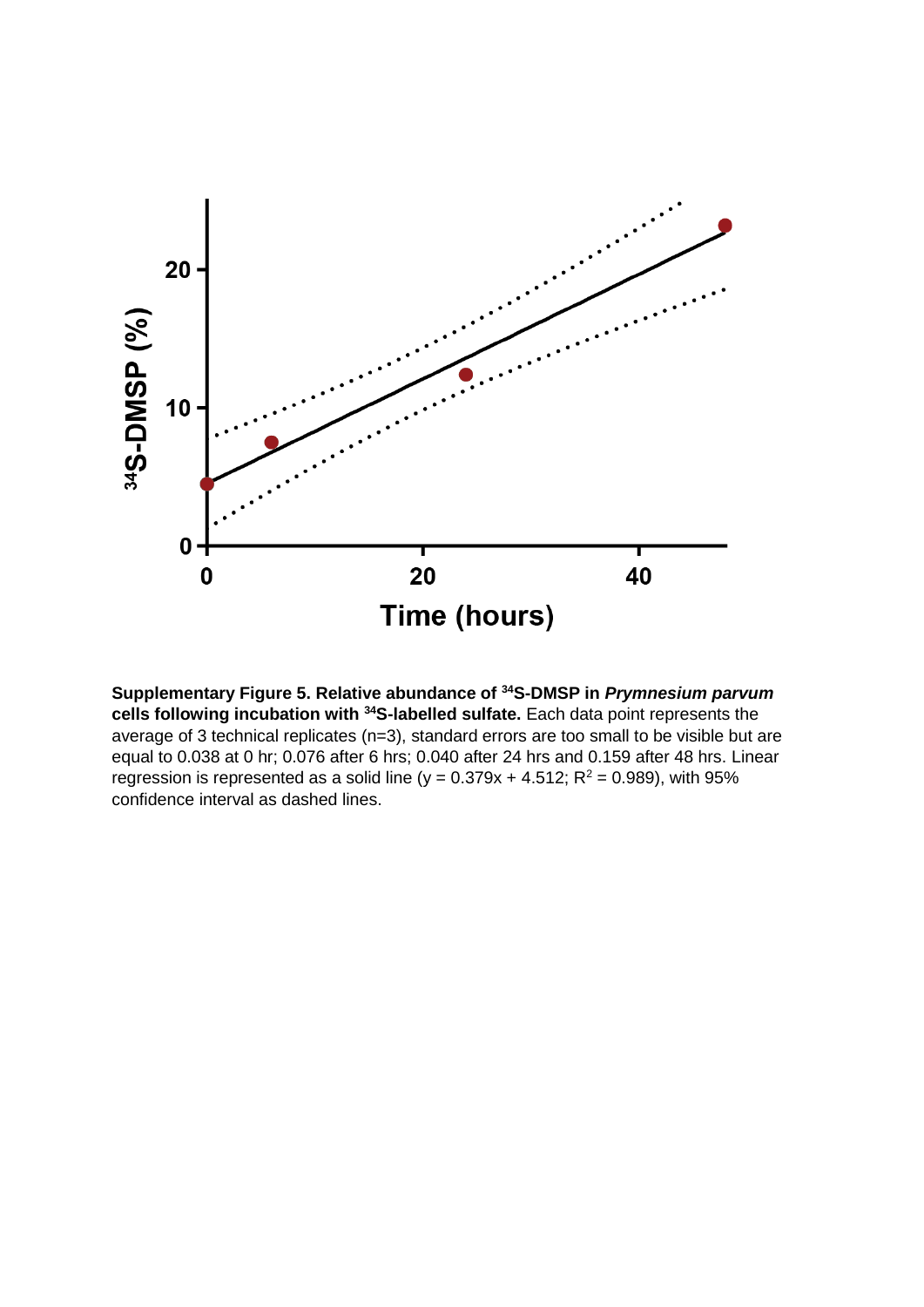

**Supplementary Figure 5. Relative abundance of <sup>34</sup>S-DMSP in** *Prymnesium parvum* **cells following incubation with <sup>34</sup>S-labelled sulfate.** Each data point represents the average of 3 technical replicates (n=3), standard errors are too small to be visible but are equal to 0.038 at 0 hr; 0.076 after 6 hrs; 0.040 after 24 hrs and 0.159 after 48 hrs. Linear regression is represented as a solid line ( $y = 0.379x + 4.512$ ;  $R^2 = 0.989$ ), with 95% confidence interval as dashed lines.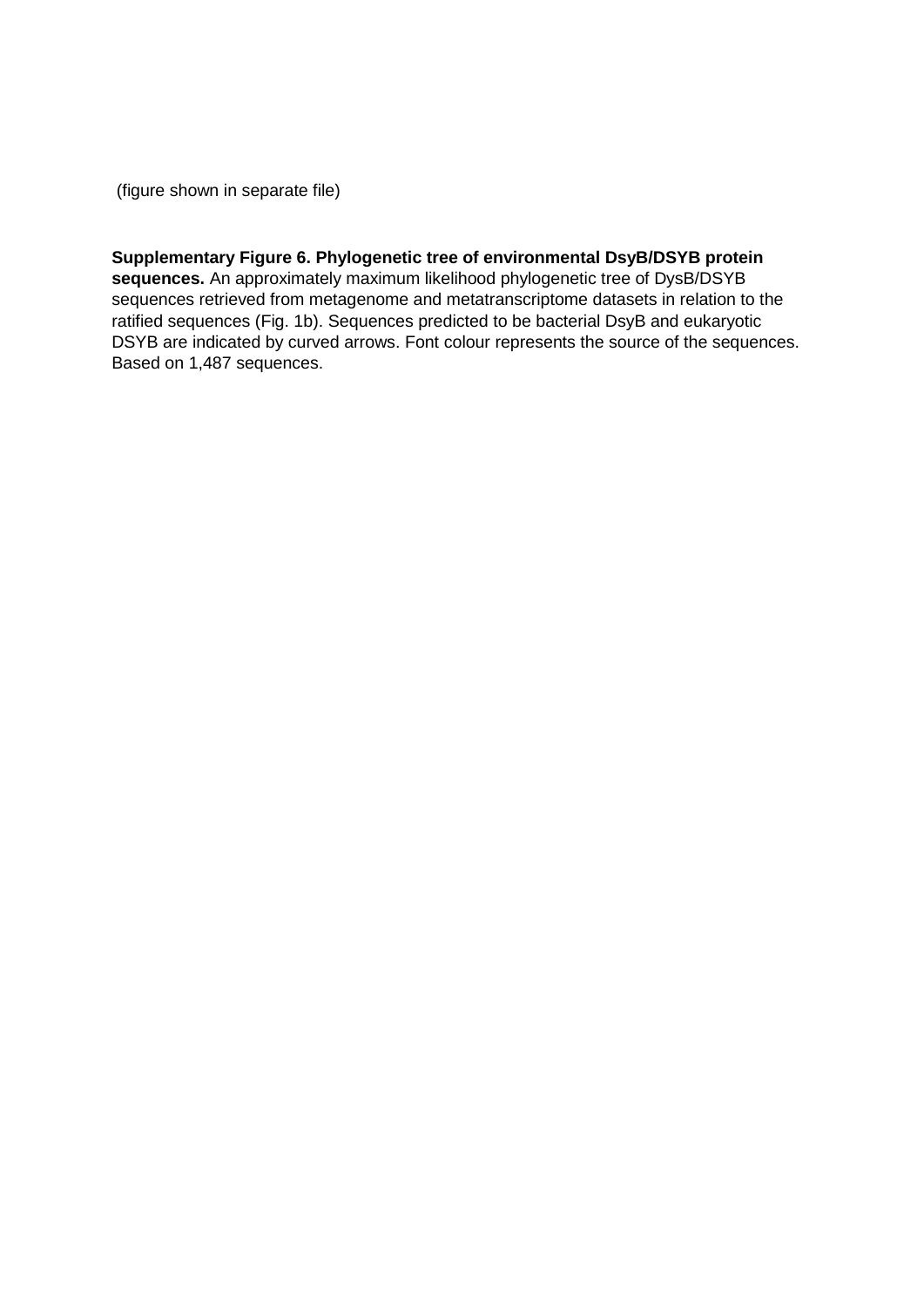(figure shown in separate file)

**Supplementary Figure 6. Phylogenetic tree of environmental DsyB/DSYB protein sequences.** An approximately maximum likelihood phylogenetic tree of DysB/DSYB sequences retrieved from metagenome and metatranscriptome datasets in relation to the ratified sequences (Fig. 1b). Sequences predicted to be bacterial DsyB and eukaryotic DSYB are indicated by curved arrows. Font colour represents the source of the sequences. Based on 1,487 sequences.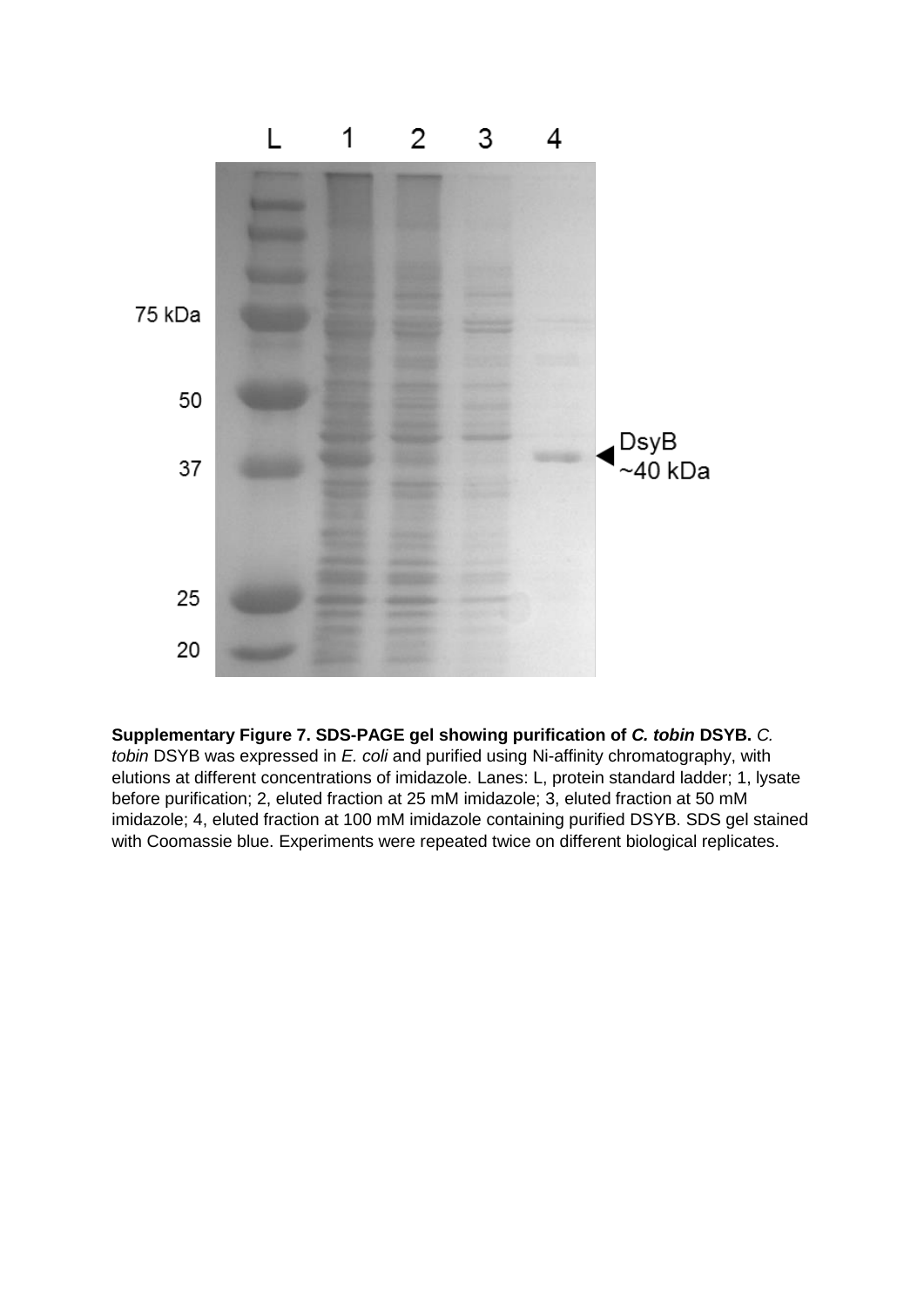

#### **Supplementary Figure 7. SDS-PAGE gel showing purification of** *C. tobin* **DSYB.** *C.*

*tobin* DSYB was expressed in *E. coli* and purified using Ni-affinity chromatography, with elutions at different concentrations of imidazole. Lanes: L, protein standard ladder; 1, lysate before purification; 2, eluted fraction at 25 mM imidazole; 3, eluted fraction at 50 mM imidazole; 4, eluted fraction at 100 mM imidazole containing purified DSYB. SDS gel stained with Coomassie blue. Experiments were repeated twice on different biological replicates.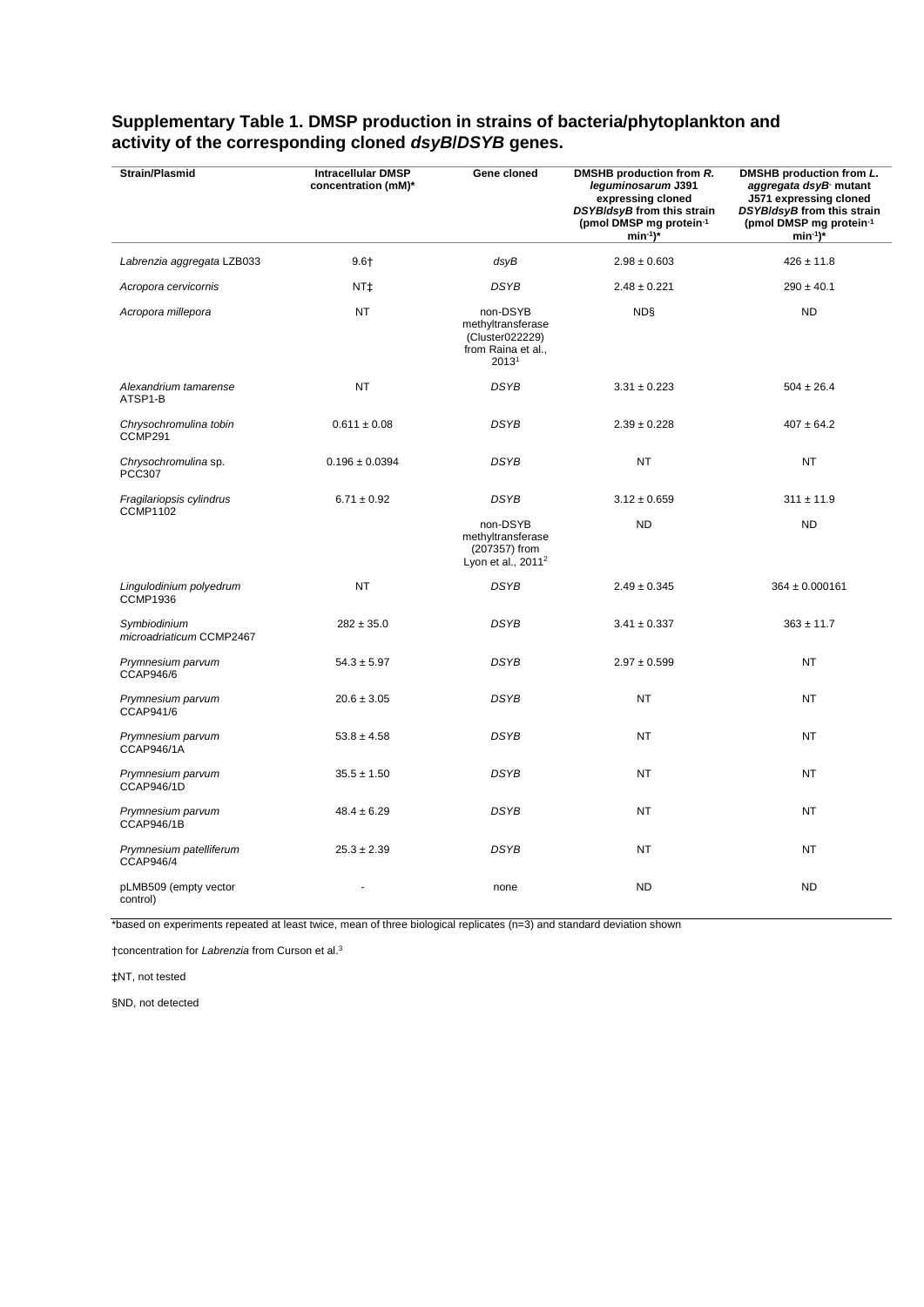| <b>Strain/Plasmid</b>                       | <b>Intracellular DMSP</b> | Gene cloned                                                                      | DMSHB production from R.                                                                                       | DMSHB production from L.                                                                                            |
|---------------------------------------------|---------------------------|----------------------------------------------------------------------------------|----------------------------------------------------------------------------------------------------------------|---------------------------------------------------------------------------------------------------------------------|
|                                             | concentration (mM)*       |                                                                                  | leguminosarum J391<br>expressing cloned<br>DSYB/dsyB from this strain<br>(pmol DMSP mg protein-1<br>$min^{-1}$ | aggregata dsyB mutant<br>J571 expressing cloned<br>DSYB/dsyB from this strain<br>(pmol DMSP mg protein-1<br>$min-1$ |
| Labrenzia aggregata LZB033                  | $9.6 +$                   | dsyB                                                                             | $2.98 \pm 0.603$                                                                                               | $426 \pm 11.8$                                                                                                      |
| Acropora cervicornis                        | NT‡                       | <b>DSYB</b>                                                                      | $2.48 \pm 0.221$                                                                                               | $290 \pm 40.1$                                                                                                      |
| Acropora millepora                          | NT                        | non-DSYB<br>methyltransferase<br>(Cluster022229)<br>from Raina et al.,<br>20131  | <b>NDS</b>                                                                                                     | <b>ND</b>                                                                                                           |
| Alexandrium tamarense<br>ATSP1-B            | <b>NT</b>                 | <b>DSYB</b>                                                                      | $3.31 \pm 0.223$                                                                                               | $504 \pm 26.4$                                                                                                      |
| Chrysochromulina tobin<br>CCMP291           | $0.611 \pm 0.08$          | <b>DSYB</b>                                                                      | $2.39 \pm 0.228$                                                                                               | $407 \pm 64.2$                                                                                                      |
| Chrysochromulina sp.<br><b>PCC307</b>       | $0.196 \pm 0.0394$        | <b>DSYB</b>                                                                      | <b>NT</b>                                                                                                      | <b>NT</b>                                                                                                           |
| Fragilariopsis cylindrus<br><b>CCMP1102</b> | $6.71 \pm 0.92$           | <b>DSYB</b>                                                                      | $3.12 \pm 0.659$                                                                                               | $311 \pm 11.9$                                                                                                      |
|                                             |                           | non-DSYB<br>methyltransferase<br>(207357) from<br>Lyon et al., 2011 <sup>2</sup> | <b>ND</b>                                                                                                      | <b>ND</b>                                                                                                           |
| Lingulodinium polyedrum<br><b>CCMP1936</b>  | NT                        | <b>DSYB</b>                                                                      | $2.49 \pm 0.345$                                                                                               | $364 \pm 0.000161$                                                                                                  |
| Symbiodinium<br>microadriaticum CCMP2467    | $282 \pm 35.0$            | <b>DSYB</b>                                                                      | $3.41 \pm 0.337$                                                                                               | $363 \pm 11.7$                                                                                                      |
| Prymnesium parvum<br><b>CCAP946/6</b>       | $54.3 \pm 5.97$           | <b>DSYB</b>                                                                      | $2.97 \pm 0.599$                                                                                               | <b>NT</b>                                                                                                           |
| Prymnesium parvum<br>CCAP941/6              | $20.6 \pm 3.05$           | <b>DSYB</b>                                                                      | <b>NT</b>                                                                                                      | <b>NT</b>                                                                                                           |
| Prymnesium parvum<br><b>CCAP946/1A</b>      | $53.8 \pm 4.58$           | <b>DSYB</b>                                                                      | <b>NT</b>                                                                                                      | <b>NT</b>                                                                                                           |
| Prymnesium parvum<br><b>CCAP946/1D</b>      | $35.5 \pm 1.50$           | <b>DSYB</b>                                                                      | NT                                                                                                             | <b>NT</b>                                                                                                           |
| Prymnesium parvum<br>CCAP946/1B             | $48.4 \pm 6.29$           | <b>DSYB</b>                                                                      | <b>NT</b>                                                                                                      | <b>NT</b>                                                                                                           |
| Prymnesium patelliferum<br><b>CCAP946/4</b> | $25.3 \pm 2.39$           | <b>DSYB</b>                                                                      | NT                                                                                                             | NT                                                                                                                  |
| pLMB509 (empty vector<br>control)           |                           | none                                                                             | <b>ND</b>                                                                                                      | <b>ND</b>                                                                                                           |

### **Supplementary Table 1. DMSP production in strains of bacteria/phytoplankton and activity of the corresponding cloned** *dsyB***/***DSYB* **genes.**

\*based on experiments repeated at least twice, mean of three biological replicates (n=3) and standard deviation shown

†concentration for *Labrenzia* from Curson et al.<sup>3</sup>

‡NT, not tested

§ND, not detected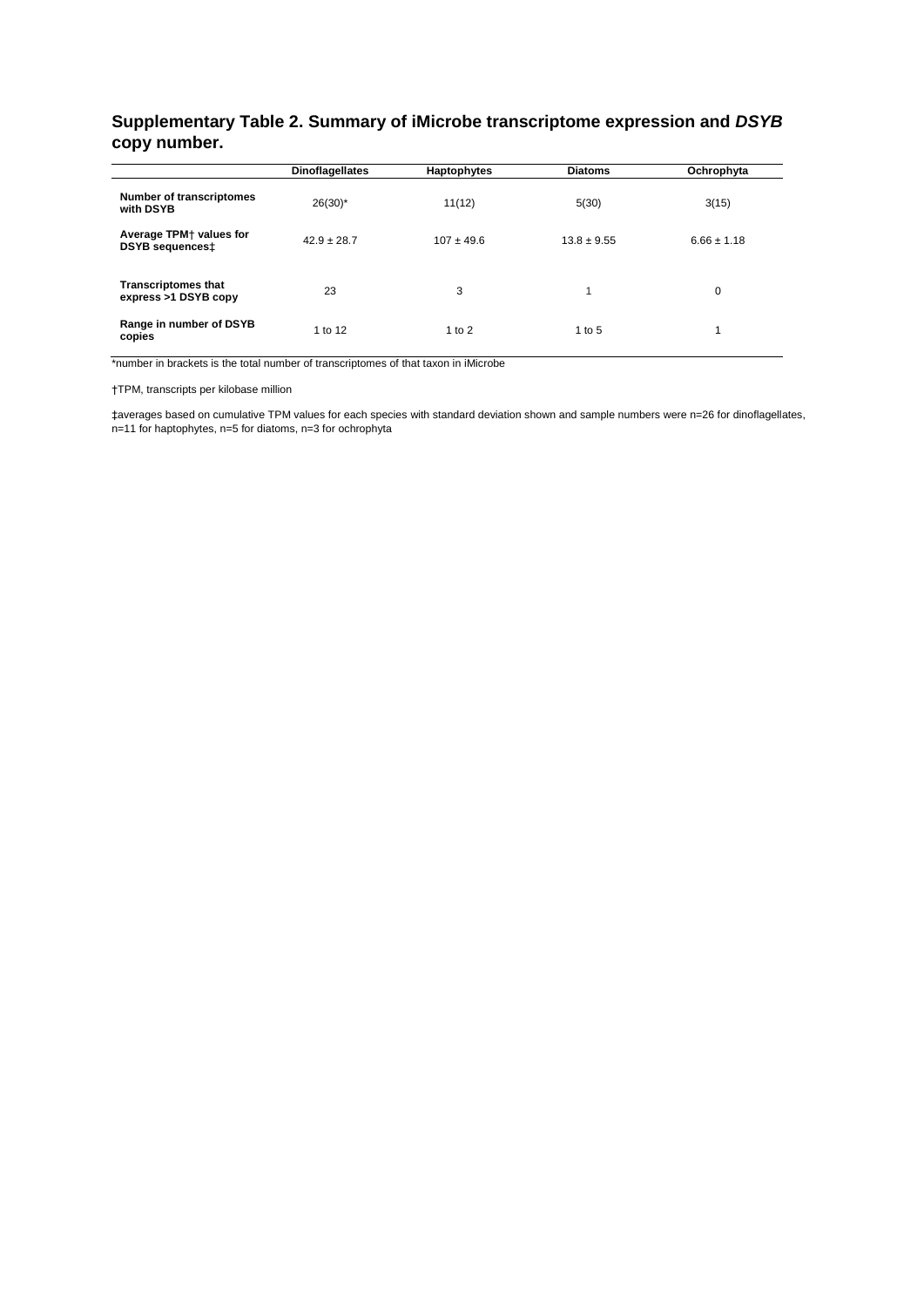### **Supplementary Table 2. Summary of iMicrobe transcriptome expression and** *DSYB* **copy number.**

|                                                    | <b>Dinoflagellates</b> | Haptophytes    | <b>Diatoms</b>  | Ochrophyta      |
|----------------------------------------------------|------------------------|----------------|-----------------|-----------------|
| <b>Number of transcriptomes</b><br>with DSYB       | $26(30)^*$             | 11(12)         | 5(30)           | 3(15)           |
| Average TPM+ values for<br>DSYB sequencest         | $42.9 \pm 28.7$        | $107 \pm 49.6$ | $13.8 \pm 9.55$ | $6.66 \pm 1.18$ |
| <b>Transcriptomes that</b><br>express >1 DSYB copy | 23                     | 3              |                 | 0               |
| Range in number of DSYB<br>copies                  | 1 to 12                | $1$ to $2$     | 1 to $5$        | 1               |

\*number in brackets is the total number of transcriptomes of that taxon in iMicrobe

†TPM, transcripts per kilobase million

‡averages based on cumulative TPM values for each species with standard deviation shown and sample numbers were n=26 for dinoflagellates, n=11 for haptophytes, n=5 for diatoms, n=3 for ochrophyta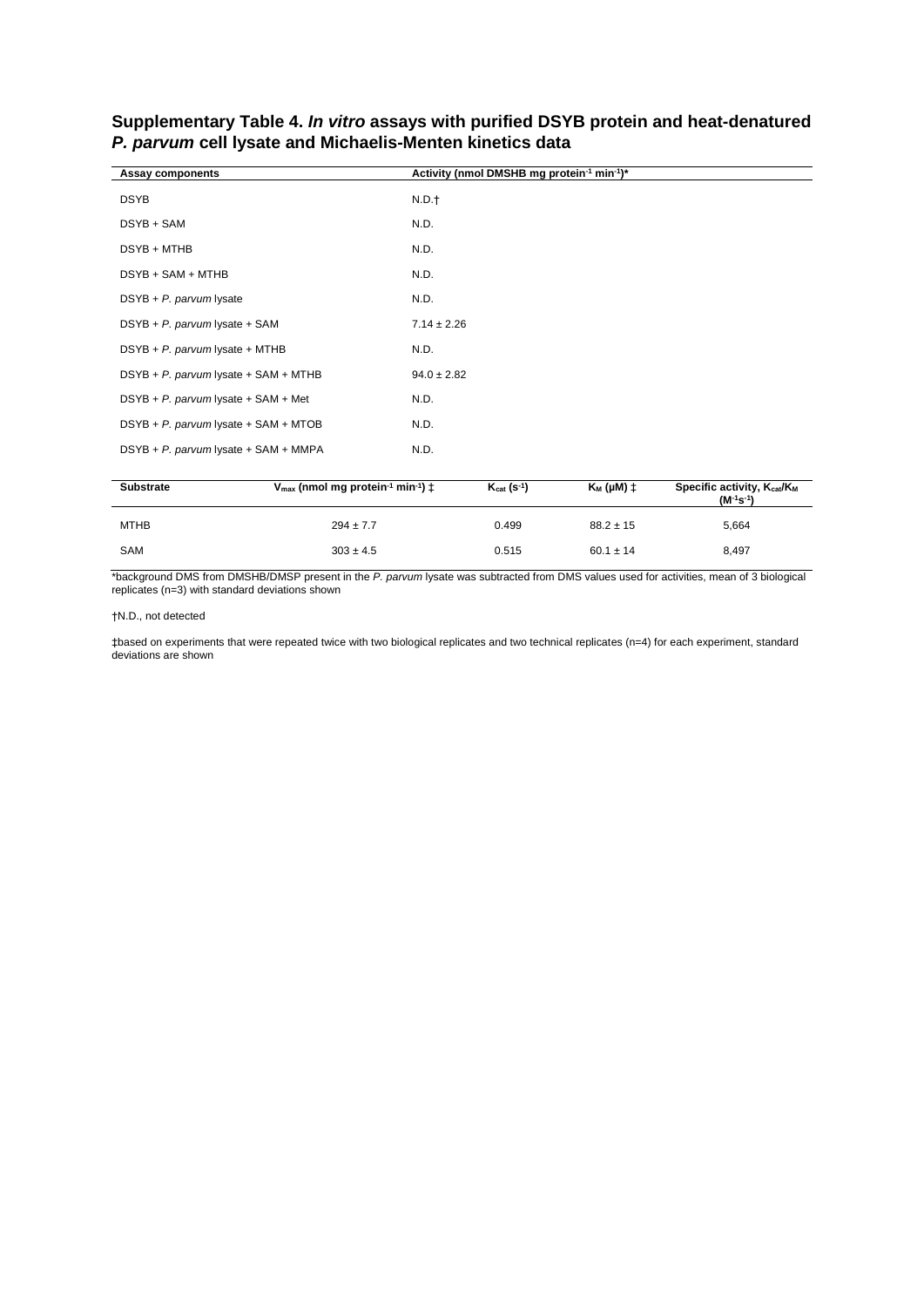### **Supplementary Table 4.** *In vitro* **assays with purified DSYB protein and heat-denatured**  *P. parvum* **cell lysate and Michaelis-Menten kinetics data**

| Assay components                       | Activity (nmol DMSHB mg protein-1 min-1)* |
|----------------------------------------|-------------------------------------------|
| <b>DSYB</b>                            | N.D.f                                     |
| DSYB + SAM                             | N.D.                                      |
| DSYB + MTHB                            | N.D.                                      |
| DSYB + SAM + MTHB                      | N.D.                                      |
| $DSYB + P.$ parvum lysate              | N.D.                                      |
| DSYB + $P.$ parvum lysate + SAM        | $7.14 \pm 2.26$                           |
| DSYB + P. parvum lysate + MTHB         | N.D.                                      |
| DSYB + P. parvum lysate + SAM + MTHB   | $94.0 \pm 2.82$                           |
| $DSYB + P$ . parvum lysate + SAM + Met | N.D.                                      |
| DSYB + P. parvum lysate + SAM + MTOB   | N.D.                                      |
| DSYB + P. parvum lysate + SAM + MMPA   | N.D.                                      |
|                                        |                                           |

| <b>Substrate</b> | $V_{\text{max}}$ (nmol mg protein <sup>-1</sup> min <sup>-1</sup> ) $\ddagger$ | $K_{cat}$ (s-1) | $K_M$ ( $\mu$ M) $\ddagger$ | Specific activity, K <sub>cat</sub> /K <sub>M</sub><br>$(M^{-1}s^{-1})$ |
|------------------|--------------------------------------------------------------------------------|-----------------|-----------------------------|-------------------------------------------------------------------------|
| <b>MTHB</b>      | $294 \pm 7.7$                                                                  | 0.499           | $88.2 \pm 15$               | 5,664                                                                   |
| SAM              | $303 \pm 4.5$                                                                  | 0.515           | $60.1 \pm 14$               | 8.497                                                                   |

\*background DMS from DMSHB/DMSP present in the *P. parvum* lysate was subtracted from DMS values used for activities, mean of 3 biological replicates (n=3) with standard deviations shown

#### †N.D., not detected

‡based on experiments that were repeated twice with two biological replicates and two technical replicates (n=4) for each experiment, standard deviations are shown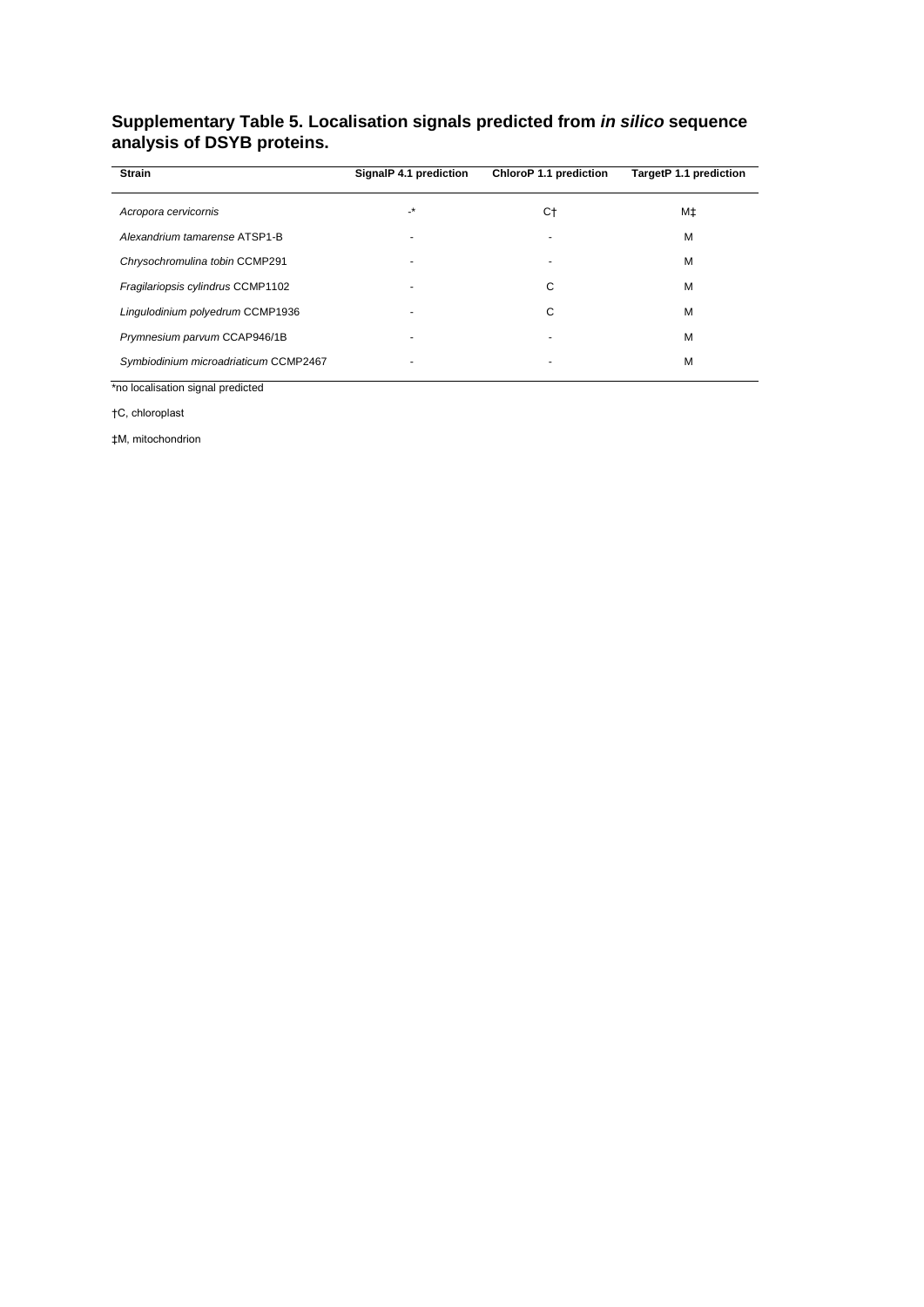## **Supplementary Table 5. Localisation signals predicted from** *in silico* **sequence analysis of DSYB proteins.**

| <b>Strain</b>                         | SignalP 4.1 prediction | ChloroP 1.1 prediction   | TargetP 1.1 prediction |
|---------------------------------------|------------------------|--------------------------|------------------------|
| Acropora cervicornis                  | -*                     | C†                       | M‡                     |
| Alexandrium tamarense ATSP1-B         |                        | $\overline{\phantom{a}}$ | M                      |
| Chrysochromulina tobin CCMP291        |                        |                          | M                      |
| Fragilariopsis cylindrus CCMP1102     |                        | С                        | M                      |
| Lingulodinium polyedrum CCMP1936      |                        | С                        | M                      |
| Prymnesium parvum CCAP946/1B          |                        |                          | M                      |
| Symbiodinium microadriaticum CCMP2467 |                        |                          | M                      |

\*no localisation signal predicted

†C, chloroplast

‡M, mitochondrion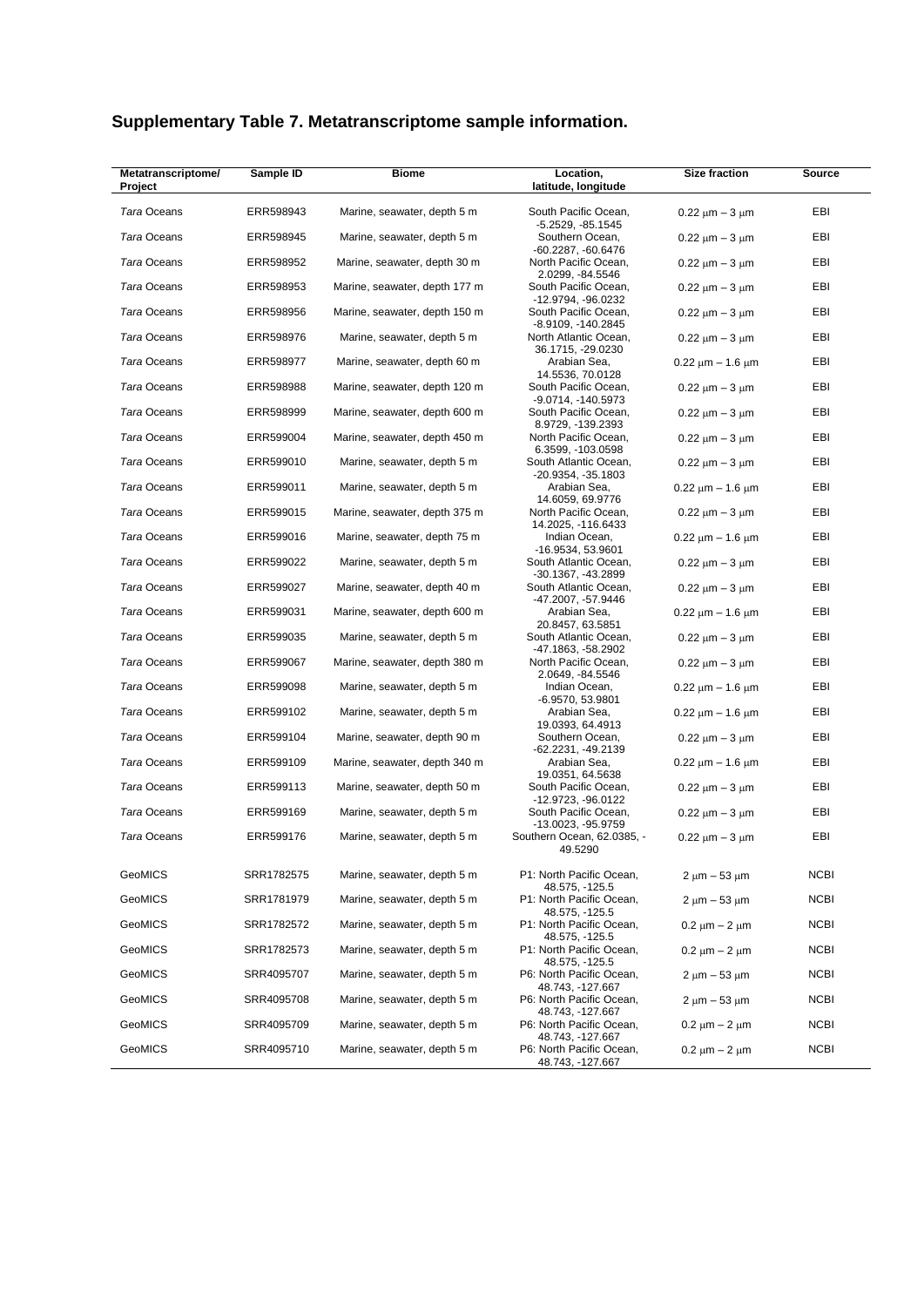| Metatranscriptome/<br>Project | Sample ID  | <b>Biome</b>                  | Location,<br>latitude, longitude                                | <b>Size fraction</b>     | Source      |
|-------------------------------|------------|-------------------------------|-----------------------------------------------------------------|--------------------------|-------------|
| Tara Oceans                   | ERR598943  | Marine, seawater, depth 5 m   | South Pacific Ocean,                                            | $0.22 \mu m - 3 \mu m$   | EBI         |
| Tara Oceans                   | ERR598945  | Marine, seawater, depth 5 m   | -5.2529, -85.1545<br>Southern Ocean,                            | $0.22 \mu m - 3 \mu m$   | EBI         |
| Tara Oceans                   | ERR598952  | Marine, seawater, depth 30 m  | -60.2287, -60.6476<br>North Pacific Ocean,                      | $0.22 \mu m - 3 \mu m$   | EBI         |
| Tara Oceans                   | ERR598953  | Marine, seawater, depth 177 m | 2.0299, -84.5546<br>South Pacific Ocean,                        | $0.22 \mu m - 3 \mu m$   | EBI         |
| Tara Oceans                   | ERR598956  | Marine, seawater, depth 150 m | -12.9794, -96.0232<br>South Pacific Ocean,                      | $0.22 \mu m - 3 \mu m$   | EBI         |
| Tara Oceans                   | ERR598976  | Marine, seawater, depth 5 m   | $-8.9109, -140.2845$<br>North Atlantic Ocean,                   | $0.22 \mu m - 3 \mu m$   | EBI         |
| Tara Oceans                   | ERR598977  | Marine, seawater, depth 60 m  | 36.1715, -29.0230<br>Arabian Sea,<br>14.5536, 70.0128           | $0.22 \mu m - 1.6 \mu m$ | EBI         |
| Tara Oceans                   | ERR598988  | Marine, seawater, depth 120 m | South Pacific Ocean,                                            | $0.22 \mu m - 3 \mu m$   | EBI         |
| Tara Oceans                   | ERR598999  | Marine, seawater, depth 600 m | -9.0714, -140.5973<br>South Pacific Ocean,<br>8.9729, -139.2393 | $0.22 \mu m - 3 \mu m$   | EBI         |
| Tara Oceans                   | ERR599004  | Marine, seawater, depth 450 m | North Pacific Ocean,<br>6.3599, -103.0598                       | $0.22 \mu m - 3 \mu m$   | EBI         |
| Tara Oceans                   | ERR599010  | Marine, seawater, depth 5 m   | South Atlantic Ocean,<br>-20.9354, -35.1803                     | $0.22 \mu m - 3 \mu m$   | EBI         |
| Tara Oceans                   | ERR599011  | Marine, seawater, depth 5 m   | Arabian Sea,<br>14.6059, 69.9776                                | $0.22 \mu m - 1.6 \mu m$ | EBI         |
| Tara Oceans                   | ERR599015  | Marine, seawater, depth 375 m | North Pacific Ocean,<br>14.2025, -116.6433                      | $0.22 \mu m - 3 \mu m$   | EBI         |
| Tara Oceans                   | ERR599016  | Marine, seawater, depth 75 m  | Indian Ocean,<br>-16.9534, 53.9601                              | $0.22 \mu m - 1.6 \mu m$ | EBI         |
| Tara Oceans                   | ERR599022  | Marine, seawater, depth 5 m   | South Atlantic Ocean,<br>$-30.1367, -43.2899$                   | $0.22 \mu m - 3 \mu m$   | EBI         |
| Tara Oceans                   | ERR599027  | Marine, seawater, depth 40 m  | South Atlantic Ocean,<br>-47.2007, -57.9446                     | $0.22 \mu m - 3 \mu m$   | EBI         |
| Tara Oceans                   | ERR599031  | Marine, seawater, depth 600 m | Arabian Sea,<br>20.8457, 63.5851                                | $0.22 \mu m - 1.6 \mu m$ | EBI         |
| Tara Oceans                   | ERR599035  | Marine, seawater, depth 5 m   | South Atlantic Ocean,<br>-47.1863, -58.2902                     | $0.22 \mu m - 3 \mu m$   | EBI         |
| Tara Oceans                   | ERR599067  | Marine, seawater, depth 380 m | North Pacific Ocean,<br>2.0649, -84.5546                        | $0.22 \mu m - 3 \mu m$   | EBI         |
| Tara Oceans                   | ERR599098  | Marine, seawater, depth 5 m   | Indian Ocean,<br>$-6.9570, 53.9801$                             | $0.22 \mu m - 1.6 \mu m$ | EBI         |
| Tara Oceans                   | ERR599102  | Marine, seawater, depth 5 m   | Arabian Sea,<br>19.0393, 64.4913                                | $0.22 \mu m - 1.6 \mu m$ | EBI         |
| Tara Oceans                   | ERR599104  | Marine, seawater, depth 90 m  | Southern Ocean,<br>-62.2231, -49.2139                           | $0.22 \mu m - 3 \mu m$   | EBI         |
| Tara Oceans                   | ERR599109  | Marine, seawater, depth 340 m | Arabian Sea,<br>19.0351, 64.5638                                | $0.22 \mu m - 1.6 \mu m$ | EBI         |
| Tara Oceans                   | ERR599113  | Marine, seawater, depth 50 m  | South Pacific Ocean,<br>-12.9723, -96.0122                      | $0.22 \mu m - 3 \mu m$   | EBI         |
| Tara Oceans                   | ERR599169  | Marine, seawater, depth 5 m   | South Pacific Ocean,<br>-13.0023, -95.9759                      | $0.22 \mu m - 3 \mu m$   | EBI         |
| Tara Oceans                   | ERR599176  | Marine, seawater, depth 5 m   | Southern Ocean, 62.0385, -<br>49.5290                           | $0.22 \mu m - 3 \mu m$   | EBI         |
| GeoMICS                       | SRR1782575 | Marine, seawater, depth 5 m   | P1: North Pacific Ocean,                                        | $2 \mu m - 53 \mu m$     | <b>NCBI</b> |
| GeoMICS                       | SRR1781979 | Marine, seawater, depth 5 m   | 48.575, -125.5<br>P1: North Pacific Ocean,<br>48.575, -125.5    | $2 \mu m - 53 \mu m$     | <b>NCBI</b> |
| GeoMICS                       | SRR1782572 | Marine, seawater, depth 5 m   | P1: North Pacific Ocean,<br>48.575, -125.5                      | $0.2 \mu m - 2 \mu m$    | <b>NCBI</b> |
| GeoMICS                       | SRR1782573 | Marine, seawater, depth 5 m   | P1: North Pacific Ocean,<br>48.575, -125.5                      | $0.2 \mu m - 2 \mu m$    | <b>NCBI</b> |
| GeoMICS                       | SRR4095707 | Marine, seawater, depth 5 m   | P6: North Pacific Ocean,<br>48.743, -127.667                    | $2 \mu m - 53 \mu m$     | <b>NCBI</b> |
| GeoMICS                       | SRR4095708 | Marine, seawater, depth 5 m   | P6: North Pacific Ocean,<br>48.743, -127.667                    | $2 \mu m - 53 \mu m$     | <b>NCBI</b> |
| GeoMICS                       | SRR4095709 | Marine, seawater, depth 5 m   | P6: North Pacific Ocean,<br>48.743, -127.667                    | $0.2 \mu m - 2 \mu m$    | <b>NCBI</b> |
| GeoMICS                       | SRR4095710 | Marine, seawater, depth 5 m   | P6: North Pacific Ocean,<br>48.743, -127.667                    | $0.2 \mu m - 2 \mu m$    | <b>NCBI</b> |

# **Supplementary Table 7. Metatranscriptome sample information.**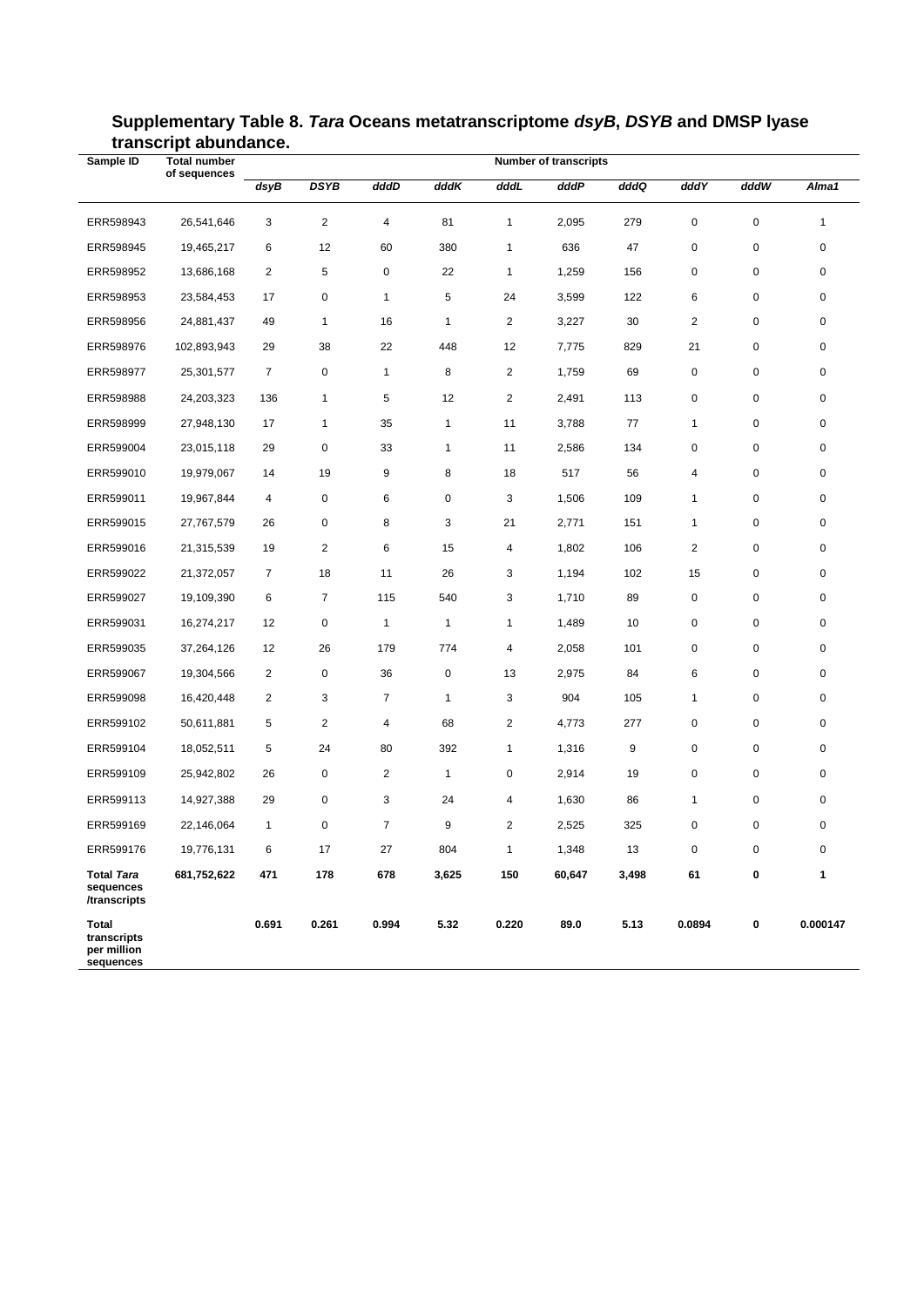| Sample ID                                               | u ansunpi abunuanue.<br><b>Total number</b> | <b>Number of transcripts</b> |                |                |              |                         |        |       |                |             |              |
|---------------------------------------------------------|---------------------------------------------|------------------------------|----------------|----------------|--------------|-------------------------|--------|-------|----------------|-------------|--------------|
|                                                         | of sequences                                | dsyB                         | <b>DSYB</b>    | dddD           | dddK         | dddL                    | dddP   | dddQ  | dddY           | dddW        | Alma1        |
| ERR598943                                               | 26,541,646                                  | 3                            | $\overline{2}$ | 4              | 81           | 1                       | 2,095  | 279   | $\mathbf 0$    | $\mathbf 0$ | $\mathbf{1}$ |
| ERR598945                                               | 19,465,217                                  | 6                            | 12             | 60             | 380          | 1                       | 636    | 47    | 0              | $\mathbf 0$ | 0            |
| ERR598952                                               | 13,686,168                                  | 2                            | 5              | 0              | 22           | 1                       | 1,259  | 156   | $\mathbf 0$    | 0           | 0            |
| ERR598953                                               | 23,584,453                                  | 17                           | 0              | 1              | 5            | 24                      | 3,599  | 122   | 6              | 0           | $\mathbf 0$  |
| ERR598956                                               | 24,881,437                                  | 49                           | $\mathbf{1}$   | 16             | $\mathbf{1}$ | $\overline{2}$          | 3,227  | 30    | $\overline{2}$ | 0           | 0            |
| ERR598976                                               | 102,893,943                                 | 29                           | 38             | 22             | 448          | 12                      | 7,775  | 829   | 21             | 0           | 0            |
| ERR598977                                               | 25,301,577                                  | $\overline{7}$               | 0              | 1              | 8            | $\overline{2}$          | 1,759  | 69    | 0              | 0           | 0            |
| ERR598988                                               | 24,203,323                                  | 136                          | $\mathbf{1}$   | 5              | 12           | 2                       | 2,491  | 113   | 0              | 0           | 0            |
| ERR598999                                               | 27,948,130                                  | 17                           | $\mathbf{1}$   | 35             | $\mathbf{1}$ | 11                      | 3,788  | 77    | $\mathbf{1}$   | 0           | 0            |
| ERR599004                                               | 23,015,118                                  | 29                           | 0              | 33             | $\mathbf{1}$ | 11                      | 2,586  | 134   | 0              | 0           | 0            |
| ERR599010                                               | 19,979,067                                  | 14                           | 19             | 9              | 8            | 18                      | 517    | 56    | 4              | 0           | $\mathbf 0$  |
| ERR599011                                               | 19,967,844                                  | 4                            | 0              | 6              | 0            | 3                       | 1,506  | 109   | $\mathbf{1}$   | 0           | 0            |
| ERR599015                                               | 27,767,579                                  | 26                           | 0              | 8              | 3            | 21                      | 2,771  | 151   | $\mathbf{1}$   | 0           | 0            |
| ERR599016                                               | 21,315,539                                  | 19                           | $\overline{2}$ | 6              | 15           | 4                       | 1,802  | 106   | $\overline{c}$ | 0           | $\mathbf 0$  |
| ERR599022                                               | 21,372,057                                  | 7                            | 18             | 11             | 26           | 3                       | 1,194  | 102   | 15             | 0           | $\mathbf 0$  |
| ERR599027                                               | 19,109,390                                  | 6                            | 7              | 115            | 540          | 3                       | 1,710  | 89    | $\mathbf 0$    | 0           | 0            |
| ERR599031                                               | 16,274,217                                  | 12                           | 0              | $\mathbf{1}$   | $\mathbf{1}$ | 1                       | 1,489  | 10    | 0              | 0           | $\mathbf 0$  |
| ERR599035                                               | 37,264,126                                  | 12                           | 26             | 179            | 774          | 4                       | 2,058  | 101   | 0              | 0           | 0            |
| ERR599067                                               | 19,304,566                                  | 2                            | $\mathbf 0$    | 36             | $\mathbf 0$  | 13                      | 2,975  | 84    | 6              | $\mathbf 0$ | $\mathbf 0$  |
| ERR599098                                               | 16,420,448                                  | 2                            | 3              | 7              | $\mathbf{1}$ | 3                       | 904    | 105   | $\mathbf{1}$   | 0           | 0            |
| ERR599102                                               | 50,611,881                                  | 5                            | 2              | 4              | 68           | 2                       | 4,773  | 277   | 0              | 0           | 0            |
| ERR599104                                               | 18,052,511                                  | 5                            | 24             | 80             | 392          | 1                       | 1,316  | 9     | 0              | 0           | $\mathbf 0$  |
| ERR599109                                               | 25,942,802                                  | 26                           | 0              | $\overline{c}$ | $\mathbf{1}$ | $\pmb{0}$               | 2,914  | 19    | $\mathbf 0$    | 0           | 0            |
| ERR599113                                               | 14,927,388                                  | 29                           | 0              | 3              | 24           | 4                       | 1,630  | 86    | $\mathbf{1}$   | 0           | 0            |
| ERR599169                                               | 22,146,064                                  | 1                            | 0              | 7              | 9            | $\overline{\mathbf{c}}$ | 2,525  | 325   | 0              | 0           | $\mathbf 0$  |
| ERR599176                                               | 19,776,131                                  | 6                            | 17             | 27             | 804          | $\mathbf{1}$            | 1,348  | 13    | $\pmb{0}$      | 0           | 0            |
| <b>Total Tara</b><br>sequences<br>/transcripts          | 681,752,622                                 | 471                          | 178            | 678            | 3,625        | 150                     | 60,647 | 3,498 | 61             | 0           | $\mathbf{1}$ |
| <b>Total</b><br>transcripts<br>per million<br>sequences |                                             | 0.691                        | 0.261          | 0.994          | 5.32         | 0.220                   | 89.0   | 5.13  | 0.0894         | $\pmb{0}$   | 0.000147     |

### **Supplementary Table 8.** *Tara* **Oceans metatranscriptome** *dsyB***,** *DSYB* **and DMSP lyase transcript abundance.**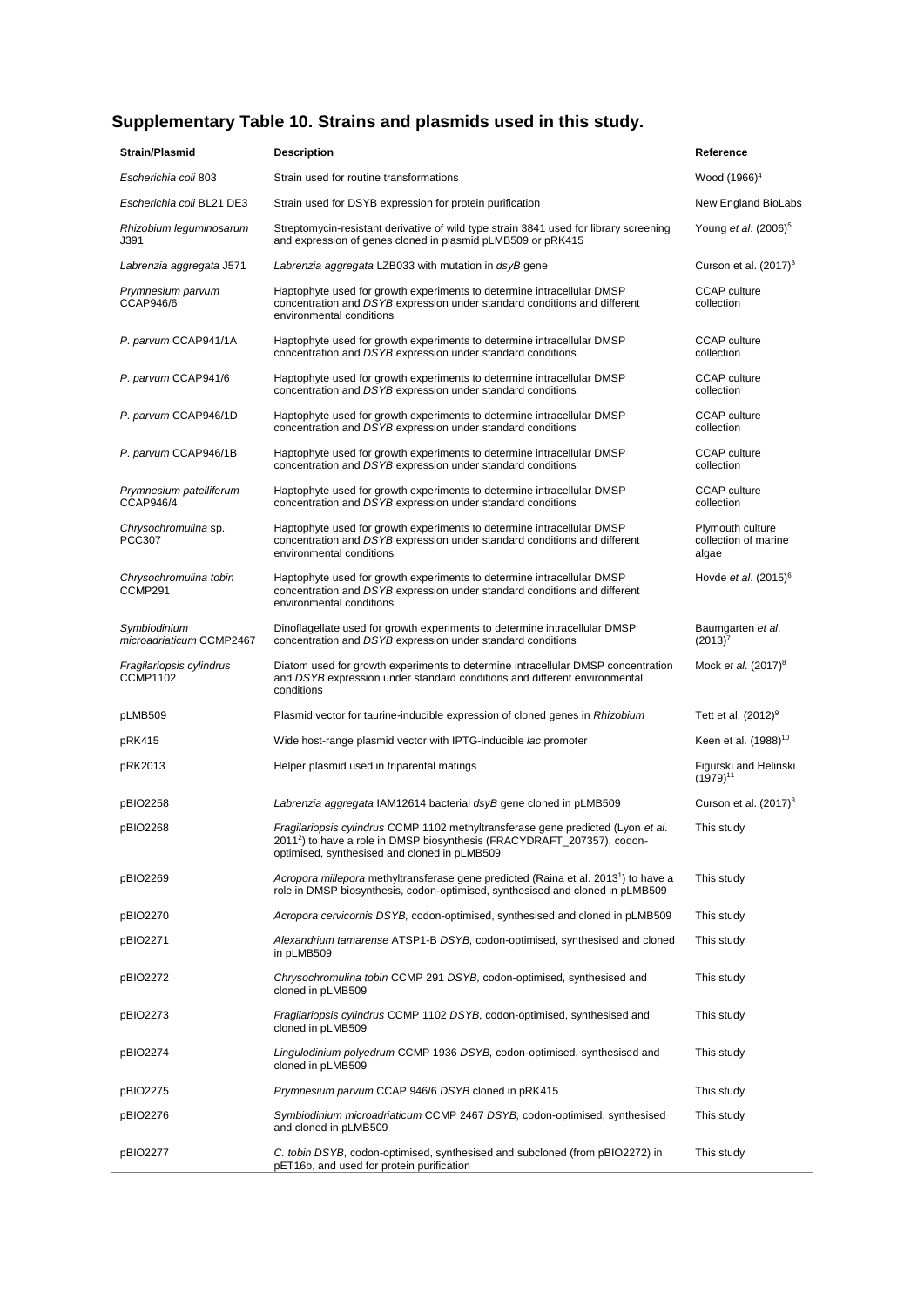# **Supplementary Table 10. Strains and plasmids used in this study.**

| Strain/Plasmid                              | <b>Description</b>                                                                                                                                                                                                      | Reference                                         |
|---------------------------------------------|-------------------------------------------------------------------------------------------------------------------------------------------------------------------------------------------------------------------------|---------------------------------------------------|
| Escherichia coli 803                        | Strain used for routine transformations                                                                                                                                                                                 | Wood (1966) <sup>4</sup>                          |
| Escherichia coli BL21 DE3                   | Strain used for DSYB expression for protein purification                                                                                                                                                                | New England BioLabs                               |
| Rhizobium leguminosarum<br>J391             | Streptomycin-resistant derivative of wild type strain 3841 used for library screening<br>and expression of genes cloned in plasmid pLMB509 or pRK415                                                                    | Young et al. $(2006)^5$                           |
| Labrenzia aggregata J571                    | Labrenzia aggregata LZB033 with mutation in dsyB gene                                                                                                                                                                   | Curson et al. $(2017)^3$                          |
| Prymnesium parvum<br>CCAP946/6              | Haptophyte used for growth experiments to determine intracellular DMSP<br>concentration and DSYB expression under standard conditions and different<br>environmental conditions                                         | <b>CCAP</b> culture<br>collection                 |
| P. parvum CCAP941/1A                        | Haptophyte used for growth experiments to determine intracellular DMSP<br>concentration and DSYB expression under standard conditions                                                                                   | <b>CCAP</b> culture<br>collection                 |
| P. parvum CCAP941/6                         | Haptophyte used for growth experiments to determine intracellular DMSP<br>concentration and DSYB expression under standard conditions                                                                                   | CCAP culture<br>collection                        |
| P. parvum CCAP946/1D                        | Haptophyte used for growth experiments to determine intracellular DMSP<br>concentration and DSYB expression under standard conditions                                                                                   | CCAP culture<br>collection                        |
| P. parvum CCAP946/1B                        | Haptophyte used for growth experiments to determine intracellular DMSP<br>concentration and DSYB expression under standard conditions                                                                                   | <b>CCAP</b> culture<br>collection                 |
| Prymnesium patelliferum<br>CCAP946/4        | Haptophyte used for growth experiments to determine intracellular DMSP<br>concentration and DSYB expression under standard conditions                                                                                   | <b>CCAP</b> culture<br>collection                 |
| Chrysochromulina sp.<br><b>PCC307</b>       | Haptophyte used for growth experiments to determine intracellular DMSP<br>concentration and DSYB expression under standard conditions and different<br>environmental conditions                                         | Plymouth culture<br>collection of marine<br>algae |
| Chrysochromulina tobin<br>CCMP291           | Haptophyte used for growth experiments to determine intracellular DMSP<br>concentration and DSYB expression under standard conditions and different<br>environmental conditions                                         | Hovde et al. $(2015)^6$                           |
| Symbiodinium<br>microadriaticum CCMP2467    | Dinoflagellate used for growth experiments to determine intracellular DMSP<br>concentration and DSYB expression under standard conditions                                                                               | Baumgarten et al.<br>$(2013)^7$                   |
| Fragilariopsis cylindrus<br><b>CCMP1102</b> | Diatom used for growth experiments to determine intracellular DMSP concentration<br>and DSYB expression under standard conditions and different environmental<br>conditions                                             | Mock et al. (2017) <sup>8</sup>                   |
| pLMB509                                     | Plasmid vector for taurine-inducible expression of cloned genes in Rhizobium                                                                                                                                            | Tett et al. $(2012)^9$                            |
| pRK415                                      | Wide host-range plasmid vector with IPTG-inducible lac promoter                                                                                                                                                         | Keen et al. (1988) <sup>10</sup>                  |
| pRK2013                                     | Helper plasmid used in triparental matings                                                                                                                                                                              | Figurski and Helinski<br>$(1979)^{11}$            |
| pBIO2258                                    | Labrenzia aggregata IAM12614 bacterial dsyB gene cloned in pLMB509                                                                                                                                                      | Curson et al. $(2017)^3$                          |
| pBIO2268                                    | Fragilariopsis cylindrus CCMP 1102 methyltransferase gene predicted (Lyon et al.<br>2011 <sup>2</sup> ) to have a role in DMSP biosynthesis (FRACYDRAFT_207357), codon-<br>optimised, synthesised and cloned in pLMB509 | This study                                        |
| pBIO2269                                    | Acropora millepora methyltransferase gene predicted (Raina et al. 2013 <sup>1</sup> ) to have a<br>role in DMSP biosynthesis, codon-optimised, synthesised and cloned in pLMB509                                        | This study                                        |
| pBIO2270                                    | Acropora cervicornis DSYB, codon-optimised, synthesised and cloned in pLMB509                                                                                                                                           | This study                                        |
| pBIO2271                                    | Alexandrium tamarense ATSP1-B DSYB, codon-optimised, synthesised and cloned<br>in pLMB509                                                                                                                               | This study                                        |
| pBIO2272                                    | Chrysochromulina tobin CCMP 291 DSYB, codon-optimised, synthesised and<br>cloned in pLMB509                                                                                                                             | This study                                        |
| pBIO2273                                    | Fragilariopsis cylindrus CCMP 1102 DSYB, codon-optimised, synthesised and<br>cloned in pLMB509                                                                                                                          | This study                                        |
| pBIO2274                                    | Lingulodinium polyedrum CCMP 1936 DSYB, codon-optimised, synthesised and<br>cloned in pLMB509                                                                                                                           | This study                                        |
| pBIO2275                                    | Prymnesium parvum CCAP 946/6 DSYB cloned in pRK415                                                                                                                                                                      | This study                                        |
| pBIO2276                                    | Symbiodinium microadriaticum CCMP 2467 DSYB, codon-optimised, synthesised<br>and cloned in pLMB509                                                                                                                      | This study                                        |
| pBIO2277                                    | C. tobin DSYB, codon-optimised, synthesised and subcloned (from pBIO2272) in<br>pET16b, and used for protein purification                                                                                               | This study                                        |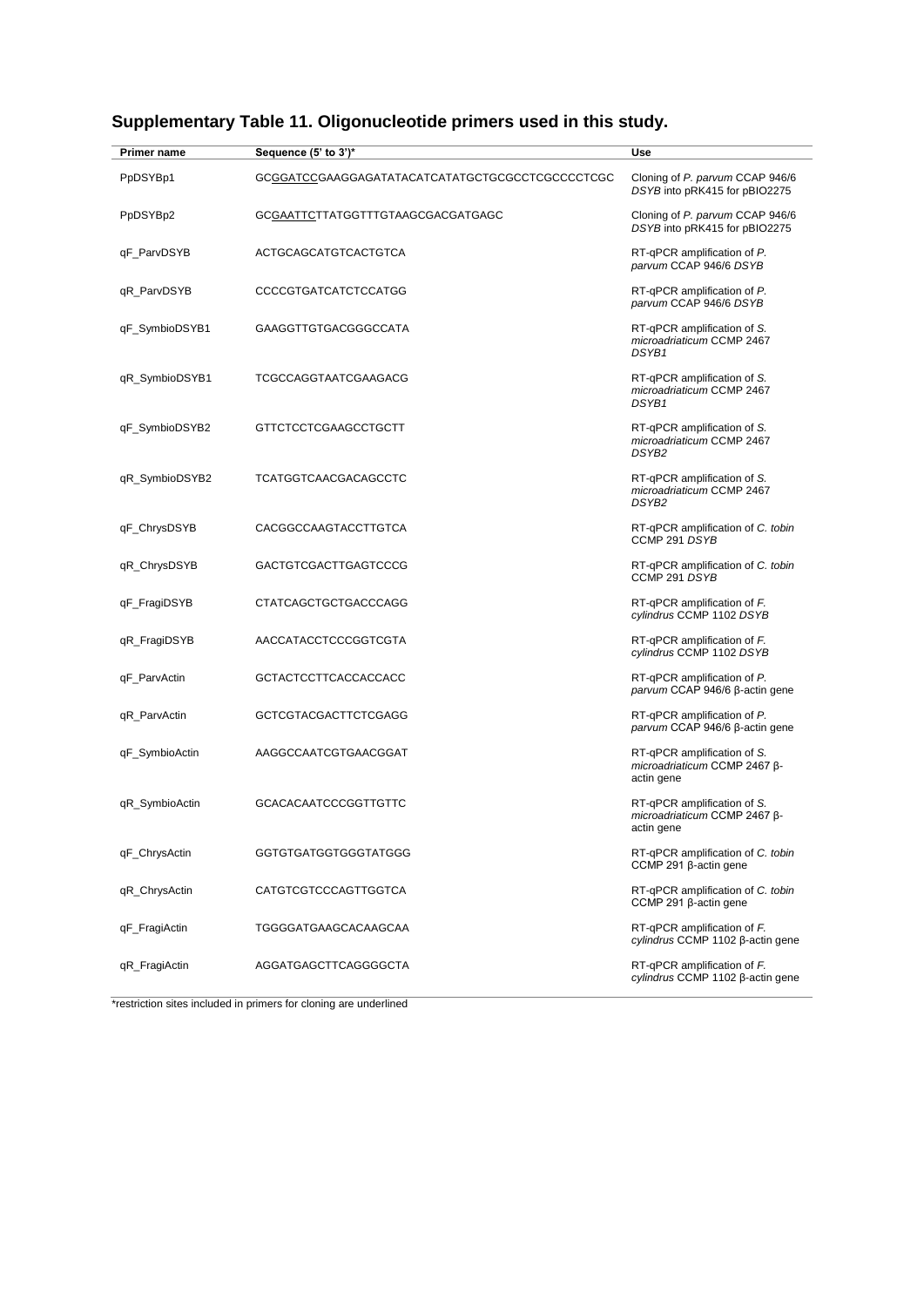| Primer name    | Sequence (5' to 3')*                            | Use                                                                           |
|----------------|-------------------------------------------------|-------------------------------------------------------------------------------|
| PpDSYBp1       | GCGGATCCGAAGGAGATATACATCATATGCTGCGCCTCGCCCCTCGC | Cloning of P. parvum CCAP 946/6                                               |
|                |                                                 | DSYB into pRK415 for pBIO2275                                                 |
| PpDSYBp2       | GC <u>GAATTC</u> TTATGGTTTGTAAGCGACGATGAGC      | Cloning of P. parvum CCAP 946/6<br>DSYB into pRK415 for pBIO2275              |
| qF_ParvDSYB    | ACTGCAGCATGTCACTGTCA                            | RT-qPCR amplification of P.<br>parvum CCAP 946/6 DSYB                         |
| qR_ParvDSYB    | CCCCGTGATCATCTCCATGG                            | RT-qPCR amplification of P.<br>parvum CCAP 946/6 DSYB                         |
| qF_SymbioDSYB1 | <b>GAAGGTTGTGACGGGCCATA</b>                     | RT-qPCR amplification of S.<br>microadriaticum CCMP 2467<br>DSYB1             |
| qR_SymbioDSYB1 | TCGCCAGGTAATCGAAGACG                            | RT-qPCR amplification of S.<br>microadriaticum CCMP 2467<br>DSYB1             |
| qF_SymbioDSYB2 | GTTCTCCTCGAAGCCTGCTT                            | RT-qPCR amplification of S.<br>microadriaticum CCMP 2467<br>DSYB <sub>2</sub> |
| qR_SymbioDSYB2 | TCATGGTCAACGACAGCCTC                            | RT-qPCR amplification of S.<br>microadriaticum CCMP 2467<br>DSYB <sub>2</sub> |
| qF_ChrysDSYB   | CACGGCCAAGTACCTTGTCA                            | RT-qPCR amplification of C. tobin<br>CCMP 291 DSYB                            |
| qR_ChrysDSYB   | GACTGTCGACTTGAGTCCCG                            | RT-qPCR amplification of C. tobin<br>CCMP 291 DSYB                            |
| qF_FragiDSYB   | CTATCAGCTGCTGACCCAGG                            | RT-qPCR amplification of F.<br>cylindrus CCMP 1102 DSYB                       |
| qR_FragiDSYB   | AACCATACCTCCCGGTCGTA                            | RT-qPCR amplification of F.<br>cylindrus CCMP 1102 DSYB                       |
| qF_ParvActin   | GCTACTCCTTCACCACCACC                            | RT-qPCR amplification of P.<br>parvum CCAP 946/6 β-actin gene                 |
| qR_ParvActin   | GCTCGTACGACTTCTCGAGG                            | RT-qPCR amplification of P.<br>parvum CCAP 946/6 β-actin gene                 |
| qF_SymbioActin | AAGGCCAATCGTGAACGGAT                            | RT-qPCR amplification of S.<br>microadriaticum CCMP 2467 β-<br>actin gene     |
| qR SymbioActin | GCACACAATCCCGGTTGTTC                            | RT-qPCR amplification of S.<br>microadriaticum CCMP 2467 β-<br>actin gene     |
| qF_ChrysActin  | GGTGTGATGGTGGGTATGGG                            | RT-qPCR amplification of C. tobin<br>CCMP 291 $\beta$ -actin gene             |
| qR_ChrysActin  | CATGTCGTCCCAGTTGGTCA                            | RT-qPCR amplification of C. tobin<br>CCMP 291 $\beta$ -actin gene             |
| qF_FragiActin  | TGGGGATGAAGCACAAGCAA                            | RT-qPCR amplification of F.<br>cylindrus CCMP 1102 β-actin gene               |
| qR_FragiActin  | AGGATGAGCTTCAGGGGCTA                            | RT-qPCR amplification of F.<br>cylindrus CCMP 1102 β-actin gene               |

# **Supplementary Table 11. Oligonucleotide primers used in this study.**

\*restriction sites included in primers for cloning are underlined